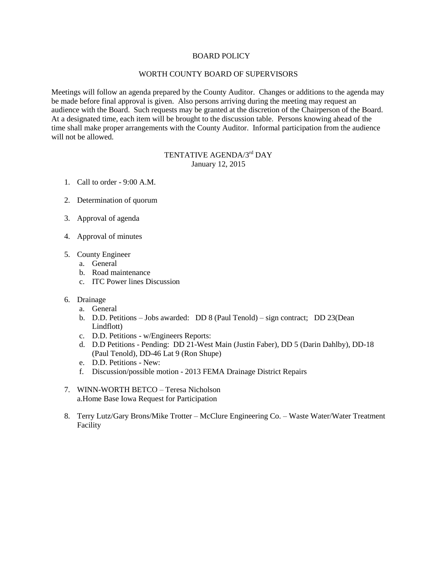## BOARD POLICY

## WORTH COUNTY BOARD OF SUPERVISORS

Meetings will follow an agenda prepared by the County Auditor. Changes or additions to the agenda may be made before final approval is given. Also persons arriving during the meeting may request an audience with the Board. Such requests may be granted at the discretion of the Chairperson of the Board. At a designated time, each item will be brought to the discussion table. Persons knowing ahead of the time shall make proper arrangements with the County Auditor. Informal participation from the audience will not be allowed.

## TENTATIVE AGENDA/3<sup>rd</sup> DAY January 12, 2015

- 1. Call to order 9:00 A.M.
- 2. Determination of quorum
- 3. Approval of agenda
- 4. Approval of minutes
- 5. County Engineer
	- a. General
	- b. Road maintenance
	- c. ITC Power lines Discussion
- 6. Drainage
	- a. General
	- b. D.D. Petitions Jobs awarded: DD 8 (Paul Tenold) sign contract; DD 23(Dean Lindflott)
	- c. D.D. Petitions w/Engineers Reports:
	- d. D.D Petitions Pending: DD 21-West Main (Justin Faber), DD 5 (Darin Dahlby), DD-18 (Paul Tenold), DD-46 Lat 9 (Ron Shupe)
	- e. D.D. Petitions New:
	- f. Discussion/possible motion 2013 FEMA Drainage District Repairs
- 7. WINN-WORTH BETCO Teresa Nicholson a.Home Base Iowa Request for Participation
- 8. Terry Lutz/Gary Brons/Mike Trotter McClure Engineering Co. Waste Water/Water Treatment Facility